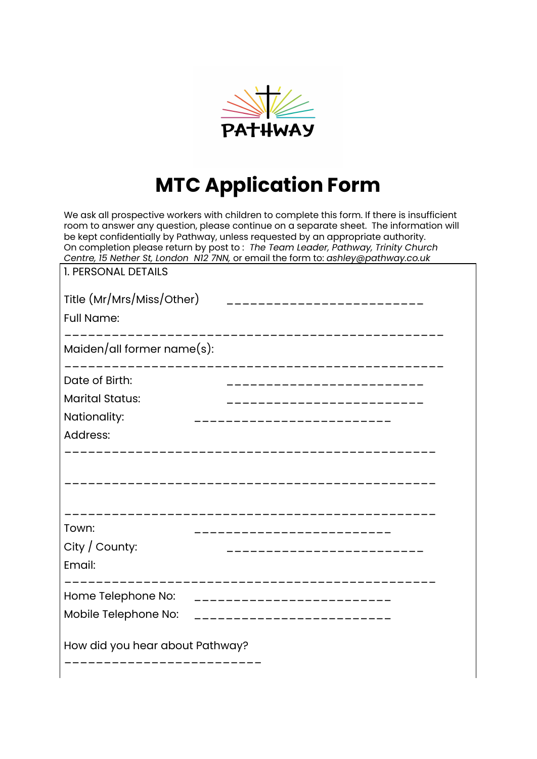

## **MTC Application Form**

We ask all prospective workers with children to complete this form. If there is insufficient room to answer any question, please continue on a separate sheet. The information will be kept confidentially by Pathway, unless requested by an appropriate authority. On completion please return by post to : *The Team Leader, Pathway, Trinity Church Centre, 15 Nether St, London N12 7NN,* or email the form to: *ashley@pathway.co.uk*

| <b>1. PERSONAL DETAILS</b>                                           |                                                                                     |  |
|----------------------------------------------------------------------|-------------------------------------------------------------------------------------|--|
| <b>Full Name:</b>                                                    | Title (Mr/Mrs/Miss/Other) ____________________________<br>_________________________ |  |
| Maiden/all former $name(s)$ :<br>___________                         |                                                                                     |  |
| Date of Birth:<br><b>Marital Status:</b><br>Nationality:<br>Address: | _____________________<br>--------------------<br>_____________                      |  |
| Town:<br>City / County:<br>Email:                                    | __________________<br>________________                                              |  |
| Home Telephone No:<br>Mobile Telephone No:                           | ________________________<br>--------------------------                              |  |
| How did you hear about Pathway?                                      |                                                                                     |  |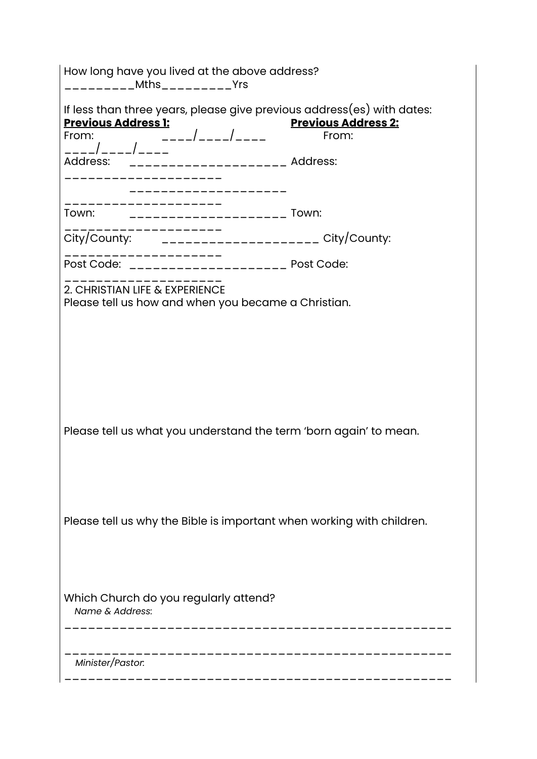| How long have you lived at the above address?<br>_________Mths_________Yrs                                                                                                                     |                                     |  |
|------------------------------------------------------------------------------------------------------------------------------------------------------------------------------------------------|-------------------------------------|--|
| If less than three years, please give previous address(es) with dates:<br><b>Previous Address 1:</b><br>rom:<br>----/----/----<br>ddress:<br>From:<br>Address: ______________________ Address: | <b>Previous Address 2:</b><br>From: |  |
|                                                                                                                                                                                                |                                     |  |
| Town: ________________________ Town:                                                                                                                                                           |                                     |  |
| City/County: _____________________ City/County:                                                                                                                                                |                                     |  |
| ------------                                                                                                                                                                                   |                                     |  |
| 2. CHRISTIAN LIFE & EXPERIENCE<br>Please tell us how and when you became a Christian.                                                                                                          |                                     |  |
|                                                                                                                                                                                                |                                     |  |
|                                                                                                                                                                                                |                                     |  |
|                                                                                                                                                                                                |                                     |  |
| Please tell us what you understand the term 'born again' to mean.                                                                                                                              |                                     |  |
|                                                                                                                                                                                                |                                     |  |
|                                                                                                                                                                                                |                                     |  |
| Please tell us why the Bible is important when working with children.                                                                                                                          |                                     |  |
|                                                                                                                                                                                                |                                     |  |
| Which Church do you regularly attend?<br>Name & Address:                                                                                                                                       |                                     |  |
| Minister/Pastor:                                                                                                                                                                               |                                     |  |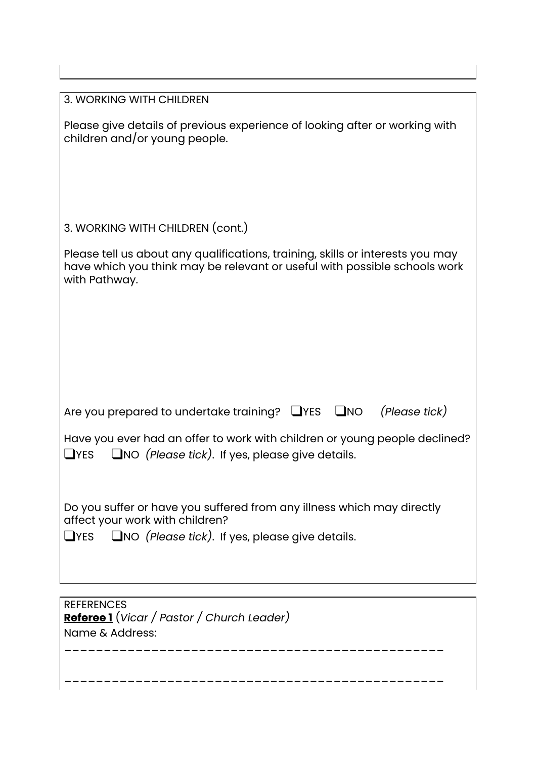| 3. WORKING WITH CHILDREN                                                                                                                                                                    |
|---------------------------------------------------------------------------------------------------------------------------------------------------------------------------------------------|
| Please give details of previous experience of looking after or working with<br>children and/or young people.                                                                                |
| 3. WORKING WITH CHILDREN (cont.)                                                                                                                                                            |
| Please tell us about any qualifications, training, skills or interests you may<br>have which you think may be relevant or useful with possible schools work<br>with Pathway.                |
| Are you prepared to undertake training? $\Box$ YES $\Box$ NO<br>(Please tick)                                                                                                               |
|                                                                                                                                                                                             |
| Have you ever had an offer to work with children or young people declined?<br>$\Box$ NO (Please tick). If yes, please give details.<br>$\sqcup$ YES                                         |
| Do you suffer or have you suffered from any illness which may directly<br>affect your work with children?<br>$\Box$ NO (Please tick). If yes, please give details.<br>$\mathsf{\Delta}$ YES |
|                                                                                                                                                                                             |
| <b>REFERENCES</b><br>Referee 1 (Vicar / Pastor / Church Leader)<br>Name & Address:                                                                                                          |

--------------------------------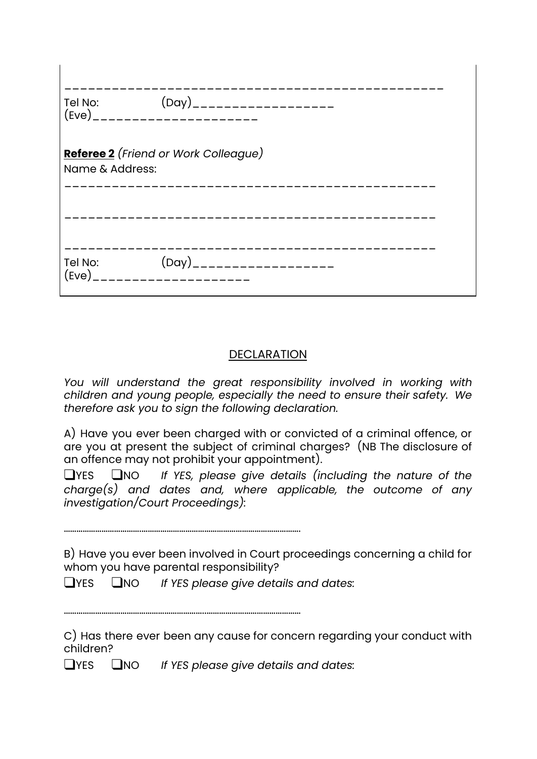| Tel No:          | $(Day)$ _____________________                      |
|------------------|----------------------------------------------------|
| Name & Address:  | <b>Referee 2</b> (Friend or Work Colleague)        |
|                  |                                                    |
| Tel No:<br>(Eve) | (Day)____________________<br>_____________________ |

## DECLARATION

*You will understand the great responsibility involved in working with children and young people, especially the need to ensure their safety. We therefore ask you to sign the following declaration.*

A) Have you ever been charged with or convicted of a criminal offence, or are you at present the subject of criminal charges? (NB The disclosure of an offence may not prohibit your appointment).

❑YES ❑NO *If YES, please give details (including the nature of the charge(s) and dates and, where applicable, the outcome of any investigation/Court Proceedings):*

……………………………….………………………………………………………………….

 $\mathbf{I}$ 

B) Have you ever been involved in Court proceedings concerning a child for whom you have parental responsibility?

❑YES ❑NO *If YES please give details and dates:*

…………………………………………………………..………………………………………

C) Has there ever been any cause for concern regarding your conduct with children?

❑YES ❑NO *If YES please give details and dates:*